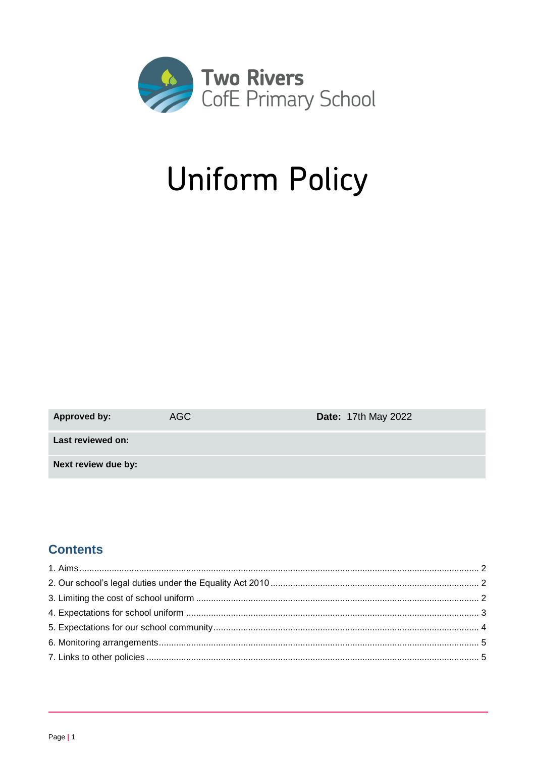

# **Uniform Policy**

| <b>Approved by:</b> | AGC | <b>Date: 17th May 2022</b> |
|---------------------|-----|----------------------------|
| Last reviewed on:   |     |                            |
| Next review due by: |     |                            |

# **Contents**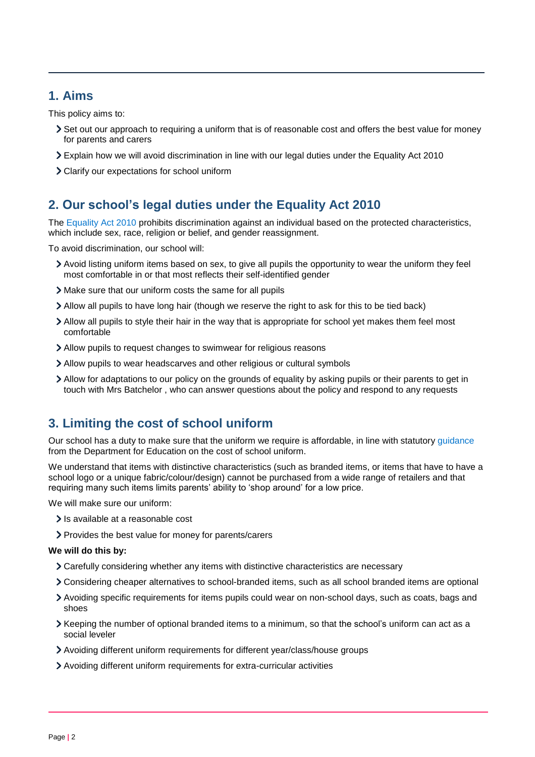# <span id="page-1-0"></span>**1. Aims**

This policy aims to:

- Set out our approach to requiring a uniform that is of reasonable cost and offers the best value for money for parents and carers
- Explain how we will avoid discrimination in line with our legal duties under the Equality Act 2010
- Clarify our expectations for school uniform

# <span id="page-1-1"></span>**2. Our school's legal duties under the Equality Act 2010**

The [Equality Act 2010](https://www.legislation.gov.uk/ukpga/2010/15/contents) prohibits discrimination against an individual based on the protected characteristics, which include sex, race, religion or belief, and gender reassignment.

To avoid discrimination, our school will:

- Avoid listing uniform items based on sex, to give all pupils the opportunity to wear the uniform they feel most comfortable in or that most reflects their self-identified gender
- Make sure that our uniform costs the same for all pupils
- Allow all pupils to have long hair (though we reserve the right to ask for this to be tied back)
- Allow all pupils to style their hair in the way that is appropriate for school yet makes them feel most comfortable
- Allow pupils to request changes to swimwear for religious reasons
- Allow pupils to wear headscarves and other religious or cultural symbols
- Allow for adaptations to our policy on the grounds of equality by asking pupils or their parents to get in touch with Mrs Batchelor , who can answer questions about the policy and respond to any requests

# <span id="page-1-2"></span>**3. Limiting the cost of school uniform**

Our school has a duty to make sure that the uniform we require is affordable, in line with statutory [guidance](https://www.gov.uk/government/publications/cost-of-school-uniforms/cost-of-school-uniforms) from the Department for Education on the cost of school uniform.

We understand that items with distinctive characteristics (such as branded items, or items that have to have a school logo or a unique fabric/colour/design) cannot be purchased from a wide range of retailers and that requiring many such items limits parents' ability to 'shop around' for a low price.

We will make sure our uniform:

- Is available at a reasonable cost
- Provides the best value for money for parents/carers

#### **We will do this by:**

- Carefully considering whether any items with distinctive characteristics are necessary
- Considering cheaper alternatives to school-branded items, such as all school branded items are optional
- Avoiding specific requirements for items pupils could wear on non-school days, such as coats, bags and shoes
- Keeping the number of optional branded items to a minimum, so that the school's uniform can act as a social leveler
- Avoiding different uniform requirements for different year/class/house groups
- Avoiding different uniform requirements for extra-curricular activities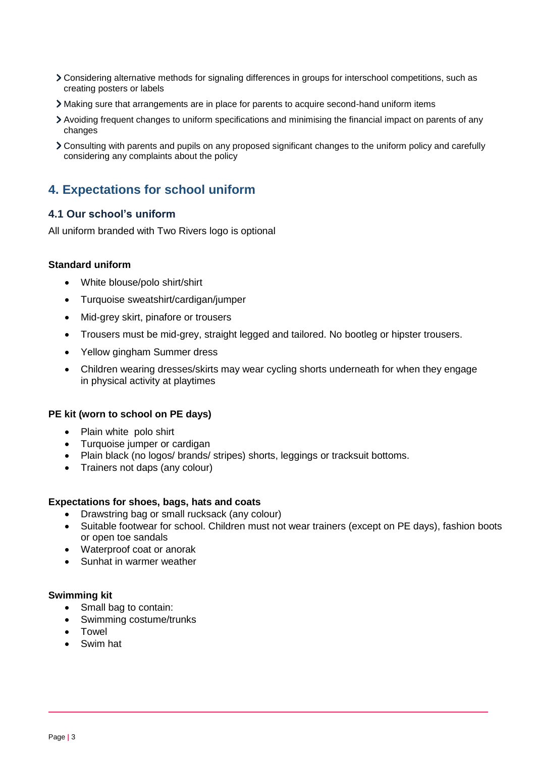- Considering alternative methods for signaling differences in groups for interschool competitions, such as creating posters or labels
- Making sure that arrangements are in place for parents to acquire second-hand uniform items
- Avoiding frequent changes to uniform specifications and minimising the financial impact on parents of any changes
- Consulting with parents and pupils on any proposed significant changes to the uniform policy and carefully considering any complaints about the policy

# <span id="page-2-0"></span>**4. Expectations for school uniform**

#### **4.1 Our school's uniform**

All uniform branded with Two Rivers logo is optional

#### **Standard uniform**

- White blouse/polo shirt/shirt
- Turquoise sweatshirt/cardigan/jumper
- Mid-grey skirt, pinafore or trousers
- Trousers must be mid-grey, straight legged and tailored. No bootleg or hipster trousers.
- Yellow gingham Summer dress
- Children wearing dresses/skirts may wear cycling shorts underneath for when they engage in physical activity at playtimes

#### **PE kit (worn to school on PE days)**

- Plain white polo shirt
- Turquoise jumper or cardigan
- Plain black (no logos/ brands/ stripes) shorts, leggings or tracksuit bottoms.
- Trainers not daps (any colour)

#### **Expectations for shoes, bags, hats and coats**

- Drawstring bag or small rucksack (any colour)
- Suitable footwear for school. Children must not wear trainers (except on PE days), fashion boots or open toe sandals
- Waterproof coat or anorak
- Sunhat in warmer weather

#### **Swimming kit**

- Small bag to contain:
- Swimming costume/trunks
- Towel
- Swim hat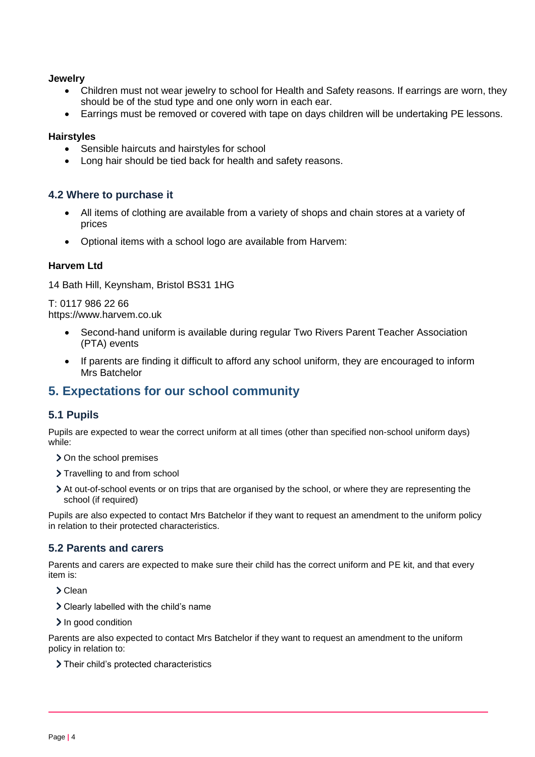#### **Jewelry**

- Children must not wear jewelry to school for Health and Safety reasons. If earrings are worn, they should be of the stud type and one only worn in each ear.
- Earrings must be removed or covered with tape on days children will be undertaking PE lessons.

#### **Hairstyles**

- Sensible haircuts and hairstyles for school
- Long hair should be tied back for health and safety reasons.

#### **4.2 Where to purchase it**

- All items of clothing are available from a variety of shops and chain stores at a variety of prices
- Optional items with a school logo are available from Harvem:

#### **Harvem Ltd**

14 Bath Hill, Keynsham, Bristol BS31 1HG

T: 0117 986 22 66 [https://www.harvem.co.uk](https://www.harvem.co.uk/)

- Second-hand uniform is available during regular Two Rivers Parent Teacher Association (PTA) events
- If parents are finding it difficult to afford any school uniform, they are encouraged to inform Mrs Batchelor

# <span id="page-3-0"></span>**5. Expectations for our school community**

#### **5.1 Pupils**

Pupils are expected to wear the correct uniform at all times (other than specified non-school uniform days) while:

- > On the school premises
- > Travelling to and from school
- At out-of-school events or on trips that are organised by the school, or where they are representing the school (if required)

Pupils are also expected to contact Mrs Batchelor if they want to request an amendment to the uniform policy in relation to their protected characteristics.

#### **5.2 Parents and carers**

Parents and carers are expected to make sure their child has the correct uniform and PE kit, and that every item is:

> Clean

- Clearly labelled with the child's name
- > In good condition

Parents are also expected to contact Mrs Batchelor if they want to request an amendment to the uniform policy in relation to:

Their child's protected characteristics